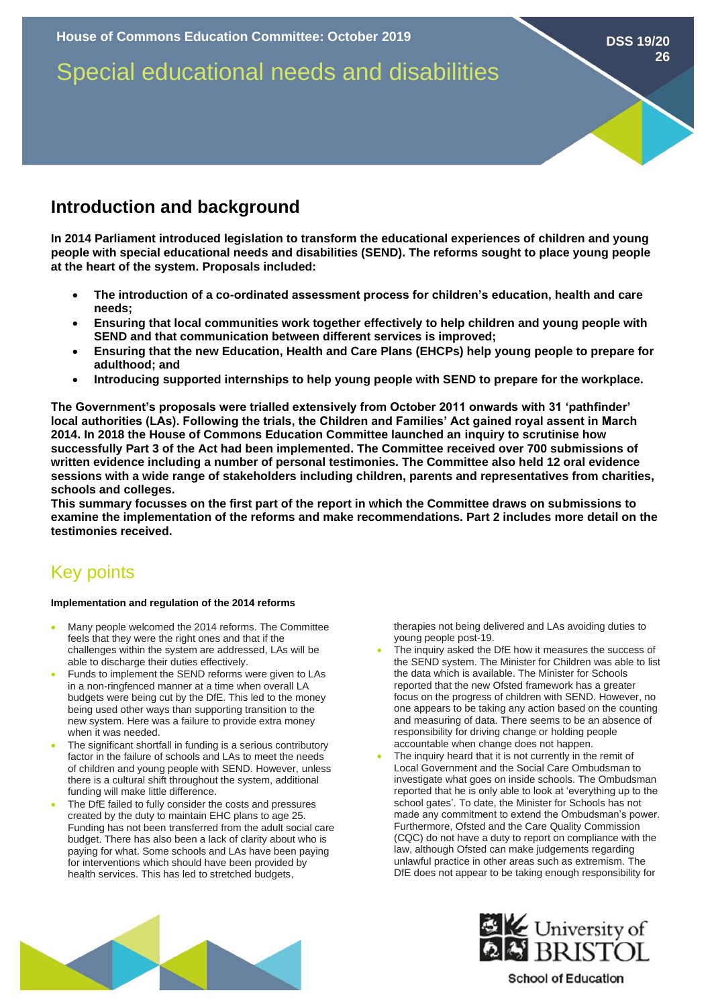# **Introduction and background**

**In 2014 Parliament introduced legislation to transform the educational experiences of children and young people with special educational needs and disabilities (SEND). The reforms sought to place young people at the heart of the system. Proposals included:** 

- **The introduction of a co-ordinated assessment process for children's education, health and care needs;**
- **Ensuring that local communities work together effectively to help children and young people with SEND and that communication between different services is improved;**
- **Ensuring that the new Education, Health and Care Plans (EHCPs) help young people to prepare for adulthood; and**
- **Introducing supported internships to help young people with SEND to prepare for the workplace.**

**The Government's proposals were trialled extensively from October 2011 onwards with 31 'pathfinder' local authorities (LAs). Following the trials, the Children and Families' Act gained royal assent in March 2014. In 2018 the House of Commons Education Committee launched an inquiry to scrutinise how successfully Part 3 of the Act had been implemented. The Committee received over 700 submissions of written evidence including a number of personal testimonies. The Committee also held 12 oral evidence sessions with a wide range of stakeholders including children, parents and representatives from charities, schools and colleges.** 

**This summary focusses on the first part of the report in which the Committee draws on submissions to examine the implementation of the reforms and make recommendations. Part 2 includes more detail on the testimonies received.** 

## Key points

#### **Implementation and regulation of the 2014 reforms**

- Many people welcomed the 2014 reforms. The Committee feels that they were the right ones and that if the challenges within the system are addressed, LAs will be able to discharge their duties effectively.
- Funds to implement the SEND reforms were given to LAs in a non-ringfenced manner at a time when overall LA budgets were being cut by the DfE. This led to the money being used other ways than supporting transition to the new system. Here was a failure to provide extra money when it was needed.
- The significant shortfall in funding is a serious contributory factor in the failure of schools and LAs to meet the needs of children and young people with SEND. However, unless there is a cultural shift throughout the system, additional funding will make little difference.
- The DfE failed to fully consider the costs and pressures created by the duty to maintain EHC plans to age 25. Funding has not been transferred from the adult social care budget. There has also been a lack of clarity about who is paying for what. Some schools and LAs have been paying for interventions which should have been provided by health services. This has led to stretched budgets,

therapies not being delivered and LAs avoiding duties to young people post-19.

- The inquiry asked the DfE how it measures the success of the SEND system. The Minister for Children was able to list the data which is available. The Minister for Schools reported that the new Ofsted framework has a greater focus on the progress of children with SEND. However, no one appears to be taking any action based on the counting and measuring of data. There seems to be an absence of responsibility for driving change or holding people accountable when change does not happen.
- The inquiry heard that it is not currently in the remit of Local Government and the Social Care Ombudsman to investigate what goes on inside schools. The Ombudsman reported that he is only able to look at 'everything up to the school gates'. To date, the Minister for Schools has not made any commitment to extend the Ombudsman's power. Furthermore, Ofsted and the Care Quality Commission (CQC) do not have a duty to report on compliance with the law, although Ofsted can make judgements regarding unlawful practice in other areas such as extremism. The DfE does not appear to be taking enough responsibility for





**School of Education**